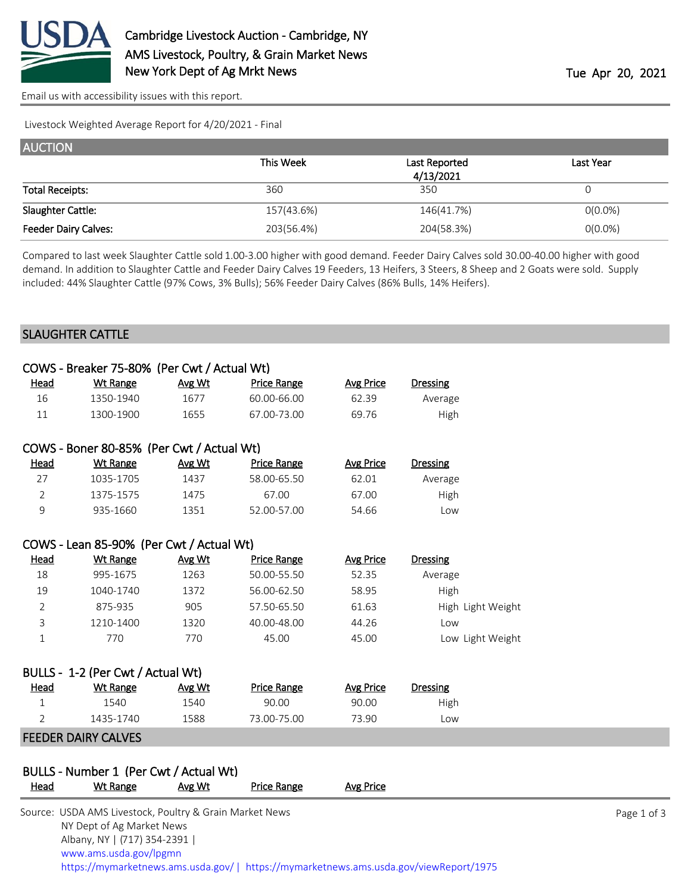

[Email us with accessibility issues with this report.](mailto:mars@ams.usda.gov?subject=508%20issue)

Livestock Weighted Average Report for 4/20/2021 - Final

| <b>AUCTION</b>              |            |                            |            |  |  |  |
|-----------------------------|------------|----------------------------|------------|--|--|--|
|                             | This Week  | Last Reported<br>4/13/2021 | Last Year  |  |  |  |
| <b>Total Receipts:</b>      | 360        | 350                        |            |  |  |  |
| Slaughter Cattle:           | 157(43.6%) | 146(41.7%)                 | $O(0.0\%)$ |  |  |  |
| <b>Feeder Dairy Calves:</b> | 203(56.4%) | 204(58.3%)                 | $O(0.0\%)$ |  |  |  |

Compared to last week Slaughter Cattle sold 1.00-3.00 higher with good demand. Feeder Dairy Calves sold 30.00-40.00 higher with good demand. In addition to Slaughter Cattle and Feeder Dairy Calves 19 Feeders, 13 Heifers, 3 Steers, 8 Sheep and 2 Goats were sold. Supply included: 44% Slaughter Cattle (97% Cows, 3% Bulls); 56% Feeder Dairy Calves (86% Bulls, 14% Heifers).

### SLAUGHTER CATTLE

|                | COWS - Breaker 75-80% (Per Cwt / Actual Wt)               |        |                    |                  |                   |             |
|----------------|-----------------------------------------------------------|--------|--------------------|------------------|-------------------|-------------|
| <b>Head</b>    | <b>Wt Range</b>                                           | Avg Wt | <b>Price Range</b> | <b>Avg Price</b> | <b>Dressing</b>   |             |
| 16             | 1350-1940                                                 | 1677   | 60.00-66.00        | 62.39            | Average           |             |
| 11             | 1300-1900                                                 | 1655   | 67.00-73.00        | 69.76            | High              |             |
|                | COWS - Boner 80-85% (Per Cwt / Actual Wt)                 |        |                    |                  |                   |             |
| <b>Head</b>    | <b>Wt Range</b>                                           | Avg Wt | <b>Price Range</b> | <b>Avg Price</b> | <b>Dressing</b>   |             |
| 27             | 1035-1705                                                 | 1437   | 58.00-65.50        | 62.01            | Average           |             |
| $\overline{2}$ | 1375-1575                                                 | 1475   | 67.00              | 67.00            | High              |             |
| 9              | 935-1660                                                  | 1351   | 52.00-57.00        | 54.66            | Low               |             |
|                | COWS - Lean 85-90% (Per Cwt / Actual Wt)                  |        |                    |                  |                   |             |
| <u>Head</u>    | <b>Wt Range</b>                                           | Avg Wt | <b>Price Range</b> | <b>Avg Price</b> | <b>Dressing</b>   |             |
| 18             | 995-1675                                                  | 1263   | 50.00-55.50        | 52.35            | Average           |             |
| 19             | 1040-1740                                                 | 1372   | 56.00-62.50        | 58.95            | High              |             |
| 2              | 875-935                                                   | 905    | 57.50-65.50        | 61.63            | High Light Weight |             |
| 3              | 1210-1400                                                 | 1320   | 40.00-48.00        | 44.26            | Low               |             |
| $\mathbf 1$    | 770                                                       | 770    | 45.00              | 45.00            | Low Light Weight  |             |
|                | BULLS - 1-2 (Per Cwt / Actual Wt)                         |        |                    |                  |                   |             |
| Head           | <b>Wt Range</b>                                           | Avg Wt | <b>Price Range</b> | <b>Avg Price</b> | <b>Dressing</b>   |             |
| $\mathbf 1$    | 1540                                                      | 1540   | 90.00              | 90.00            | High              |             |
| 2              | 1435-1740                                                 | 1588   | 73.00-75.00        | 73.90            | Low               |             |
|                | <b>FEEDER DAIRY CALVES</b>                                |        |                    |                  |                   |             |
|                |                                                           |        |                    |                  |                   |             |
| Head           | BULLS - Number 1 (Per Cwt / Actual Wt)<br><b>Wt Range</b> | Avg Wt | <b>Price Range</b> | <b>Avg Price</b> |                   |             |
|                |                                                           |        |                    |                  |                   |             |
|                | Source: USDA AMS Livestock, Poultry & Grain Market News   |        |                    |                  |                   | Page 1 of 3 |
|                | NY Dept of Ag Market News                                 |        |                    |                  |                   |             |

 [www.ams.usda.gov/lpgmn](https://www.ams.usda.gov/market-news) <https://mymarketnews.ams.usda.gov/> [|](https://www.ams.usda.gov/market-news) <https://mymarketnews.ams.usda.gov/viewReport/1975>

Albany, NY | (717) 354-2391 |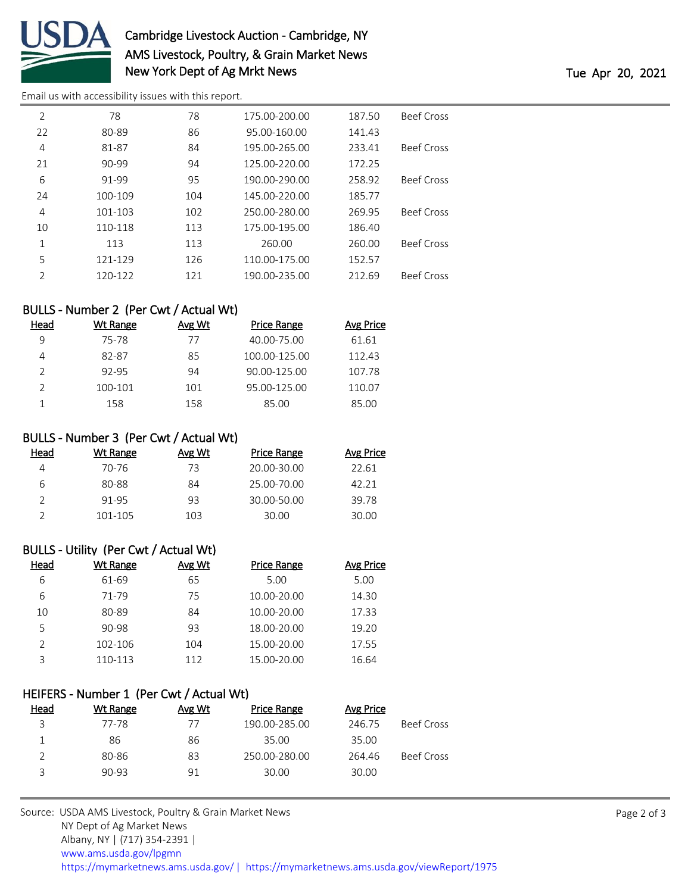

# Cambridge Livestock Auction - Cambridge, NY AMS Livestock, Poultry, & Grain Market News New York Dept of Ag Mrkt News Tue Apr 20, 2021

[Email us with accessibility issues with this report.](mailto:mars@ams.usda.gov?subject=508%20issue)

| $\overline{2}$ | 78        | 78  | 175.00-200.00 | 187.50 | <b>Beef Cross</b> |
|----------------|-----------|-----|---------------|--------|-------------------|
| 22             | 80-89     | 86  | 95.00-160.00  | 141.43 |                   |
| 4              | 81-87     | 84  | 195.00-265.00 | 233.41 | <b>Beef Cross</b> |
| 21             | $90 - 99$ | 94  | 125.00-220.00 | 172.25 |                   |
| 6              | 91-99     | 95  | 190.00-290.00 | 258.92 | <b>Beef Cross</b> |
| 24             | 100-109   | 104 | 145.00-220.00 | 185.77 |                   |
| 4              | 101-103   | 102 | 250.00-280.00 | 269.95 | <b>Beef Cross</b> |
| 10             | 110-118   | 113 | 175.00-195.00 | 186.40 |                   |
| 1              | 113       | 113 | 260.00        | 260.00 | <b>Beef Cross</b> |
| 5              | 121-129   | 126 | 110.00-175.00 | 152.57 |                   |
| 2              | 120-122   | 121 | 190.00-235.00 | 212.69 | <b>Beef Cross</b> |

## BULLS - Number 2 (Per Cwt / Actual Wt)

| Head | Wt Range | Avg Wt | <b>Price Range</b> | Avg Price |
|------|----------|--------|--------------------|-----------|
| q    | 75-78    | 77     | 40.00-75.00        | 61.61     |
|      | 82-87    | 85     | 100.00-125.00      | 112.43    |
|      | 92-95    | 94     | 90.00-125.00       | 107.78    |
|      | 100-101  | 101    | 95.00-125.00       | 110.07    |
|      | 158      | 158    | 85.00              | 85.00     |

### BULLS - Number 3 (Per Cwt / Actual Wt)

| Head | Wt Range | Avg Wt | Price Range | Avg Price |
|------|----------|--------|-------------|-----------|
| Δ    | 70-76    | 73     | 20.00-30.00 | 22.61     |
| 6    | 80-88    | 84     | 25.00-70.00 | 42.21     |
|      | 91-95    | 93     | 30.00-50.00 | 39.78     |
|      | 101-105  | 103    | 30.00       | 30.00     |

#### BULLS - Utility (Per Cwt / Actual Wt)

| Head | Wt Range | Avg Wt | <b>Price Range</b> | Avg Price |
|------|----------|--------|--------------------|-----------|
| 6    | 61-69    | 65     | 5.00               | 5.00      |
| 6    | 71-79    | 75     | $10.00 - 20.00$    | 14.30     |
| 10   | 80-89    | 84     | 10.00-20.00        | 17.33     |
| 5    | 90-98    | 93     | 18.00-20.00        | 19.20     |
| っ    | 102-106  | 104    | 15.00-20.00        | 17.55     |
| ς    | 110-113  | 112    | 15.00-20.00        | 16.64     |

#### HEIFERS - Number 1 (Per Cwt / Actual Wt)

| Head | Wt Range | Avg Wt | Price Range   | Avg Price |                   |
|------|----------|--------|---------------|-----------|-------------------|
| 3    | 77-78    | 77     | 190.00-285.00 | 246.75    | <b>Beef Cross</b> |
|      | 86       | 86     | 35.00         | 35.00     |                   |
|      | 80-86    | 83     | 250.00-280.00 | 264.46    | Beef Cross        |
| ς    | $90-93$  | 91     | 30.00         | 30.00     |                   |
|      |          |        |               |           |                   |